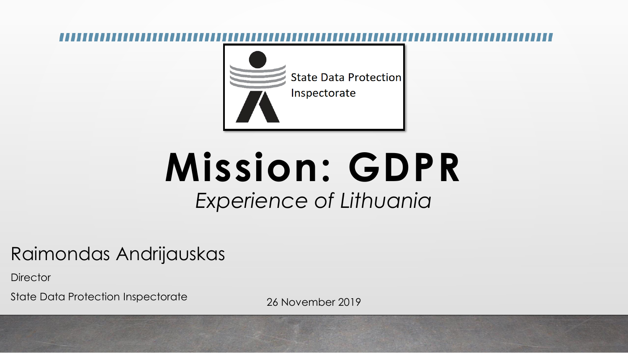

# **Mission: GDPR** *Experience of Lithuania*

## Raimondas Andrijauskas

**Director** 

State Data Protection Inspectorate 26 November 2019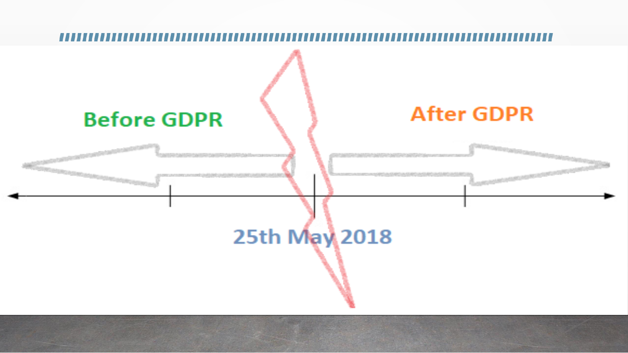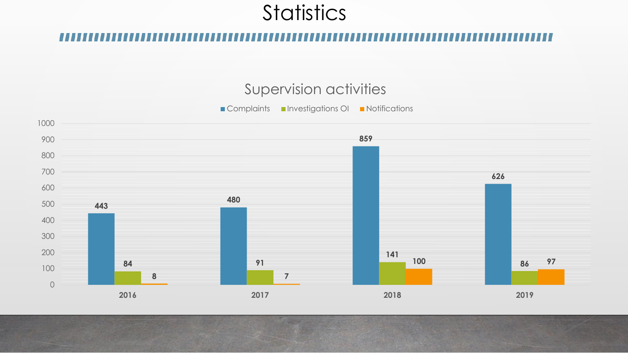## **Statistics**

## Supervision activities

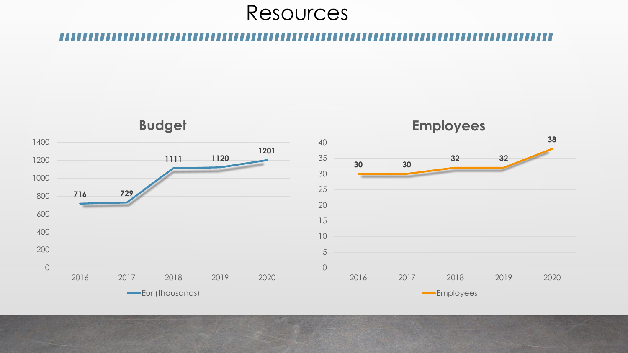## Resources

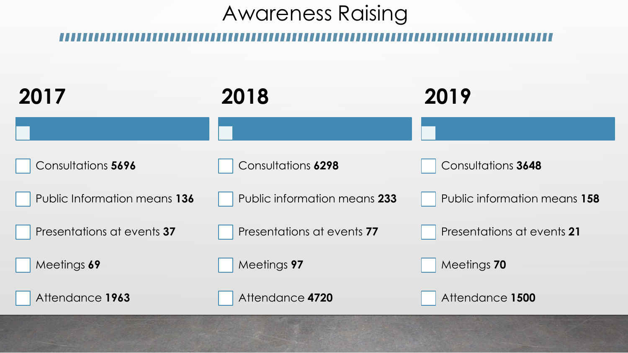## Awareness Raising

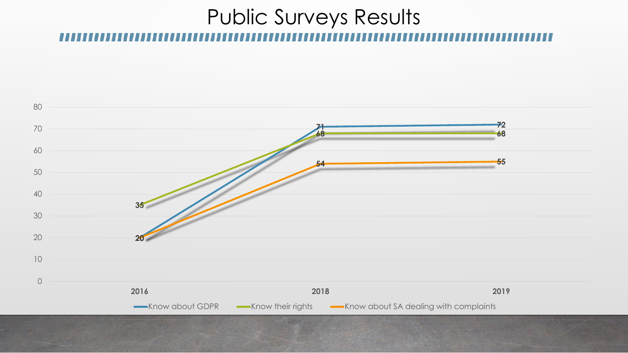## Public Surveys Results

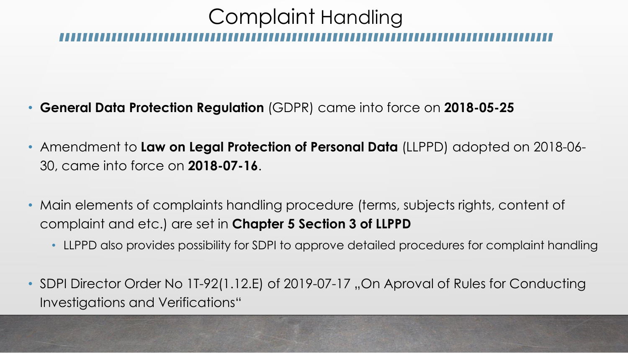## Complaint Handling

- **General Data Protection Regulation** (GDPR) came into force on **2018-05-25**
- Amendment to **Law on Legal Protection of Personal Data** (LLPPD) adopted on 2018-06- 30, came into force on **2018-07-16**.
- Main elements of complaints handling procedure (terms, subjects rights, content of complaint and etc.) are set in **Chapter 5 Section 3 of LLPPD**
	- LLPPD also provides possibility for SDPI to approve detailed procedures for complaint handling
- SDPI Director Order No 1T-92(1.12.E) of 2019-07-17, On Aproval of Rules for Conducting Investigations and Verifications"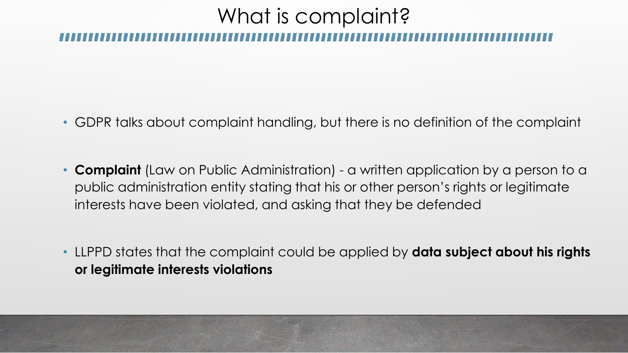# What is complaint?

- GDPR talks about complaint handling, but there is no definition of the complaint
- **Complaint** (Law on Public Administration) a written application by a person to a public administration entity stating that his or other person's rights or legitimate interests have been violated, and asking that they be defended
- LLPPD states that the complaint could be applied by **data subject about his rights or legitimate interests violations**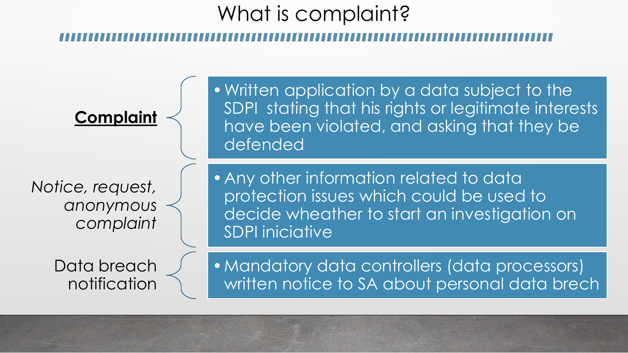# What is complaint?

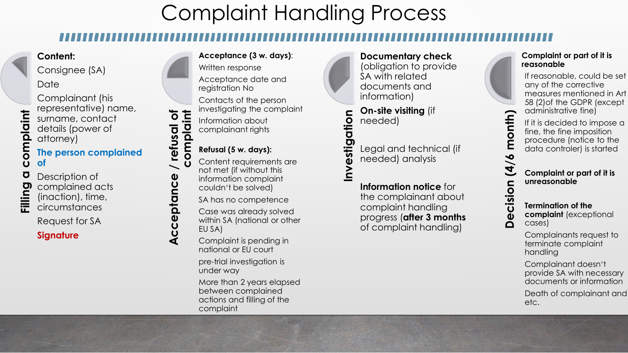## Complaint Handling Process

### **Content:**

attorney)

Consignee (SA)

Complainant (his

surname, contact details (power of

representative) name,

**Date** 

omplaint **Filling a complaint**  $\tilde{O}$ Ō Filling

**The person complained of** Description of

complained acts (inaction), time,

circumstances

Request for SA

### **Signature**

### **Acceptance (3 w. days)**:

Written response

Acceptance date and registration No

Contacts of the person investigating the complaint

**complaint** Information about complainant rights

### **Refusal (5 w. days):**

**Acceptance / refusal of**

Acceptance

/ refusal of

Content requirements are not met (if without this information complaint couldn't be solved)

SA has no competence

Case was already solved within SA (national or other EU SA)

Complaint is pending in national or EU court

pre-trial investigation is under way

More than 2 years elapsed between complained actions and filling of the complaint

**Documentary check** (obligation to provide SA with related documents and information)

**On-site visiting** (if needed)

Legal and technical (if needed) analysis

**Information notice** for complaint handling of complaint handling)

### **Complaint or part of it is reasonable**

If reasonable, could be set any of the corrective measures mentioned in Art 58 (2)of the GDPR (except administrative fine)

**Decision (4/6 month** If it is decided to impose a fine, the fine imposition procedure (notice to the data controler) is started

month)

 $\frac{1}{6}$ 

 $\overline{\mathbf{A}}$ 

cision

 $\mathbf{\tilde{\Phi}}$  $\Omega$ 

**Complaint or part of it is unreasonable**

**Termination of the complaint** (exceptional cases)

Complainants request to terminate complaint handling

Complainant doesn't provide SA with necessary documents or information

Death of complainant and etc.

**Investigation**

the complainant about progress (**after 3 months**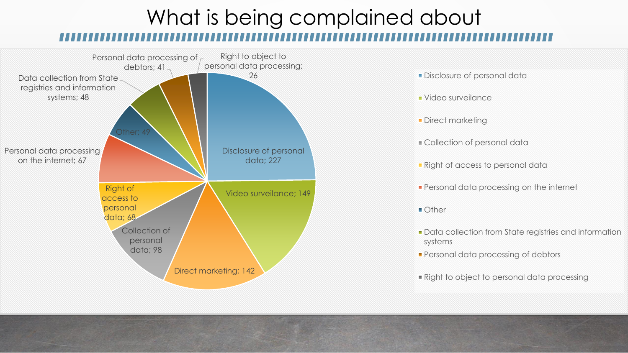# What is being complained about



- 26 **Disclosure of personal data and 26** Disclosure of personal data
	- Video surveilance
	- **Direct marketing**
	- Collection of personal data
	- **Right of access to personal data**
	- **Personal data processing on the internet**
	- Other
	- **Data collection from State registries and information** systems
	- **Personal data processing of debtors**
	- Right to object to personal data processing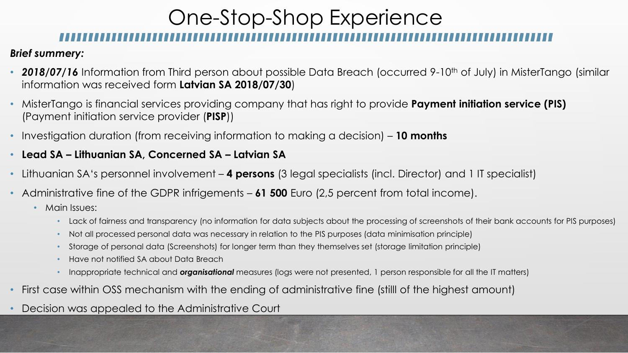## One-Stop-Shop Experience

### *Brief summery:*

- **2018/07/16** Information from Third person about possible Data Breach (occurred 9-10<sup>th</sup> of July) in MisterTango (similar information was received form **Latvian SA 2018/07/30**)
- MisterTango is financial services providing company that has right to provide **Payment initiation service (PIS)** (Payment initiation service provider (**PISP**))
- Investigation duration (from receiving information to making a decision) **10 months**
- **Lead SA – Lithuanian SA, Concerned SA – Latvian SA**
- Lithuanian SA's personnel involvement **4 persons** (3 legal specialists (incl. Director) and 1 IT specialist)
- Administrative fine of the GDPR infrigements **61 500** Euro (2,5 percent from total income).
	- Main Issues:
		- Lack of fairness and transparency (no information for data subjects about the processing of screenshots of their bank accounts for PIS purposes)
		- Not all processed personal data was necessary in relation to the PIS purposes (data minimisation principle)
		- Storage of personal data (Screenshots) for longer term than they themselves set (storage limitation principle)
		- Have not notified SA about Data Breach
		- Inappropriate technical and *organisational* measures (logs were not presented, 1 person responsible for all the IT matters)
- First case within OSS mechanism with the ending of administrative fine (stilll of the highest amount)
- Decision was appealed to the Administrative Court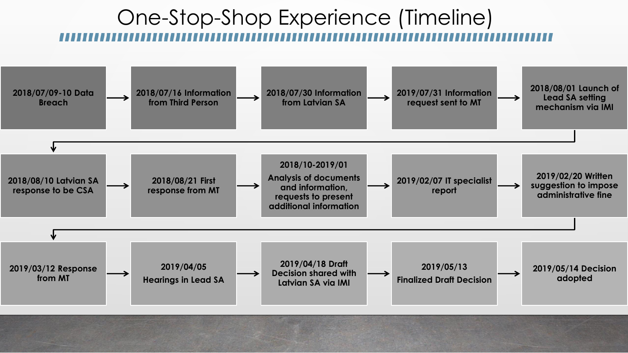## One-Stop-Shop Experience (Timeline)